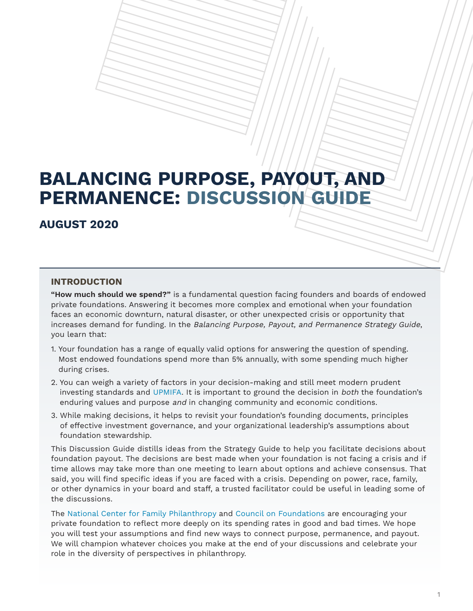# **BALANCING PURPOSE, PAYOUT, AND PERMANENCE: DISCUSSION GUIDE**

## **AUGUST 2020**

## **INTRODUCTION**

**"How much should we spend?"** is a fundamental question facing founders and boards of endowed private foundations. Answering it becomes more complex and emotional when your foundation faces an economic downturn, natural disaster, or other unexpected crisis or opportunity that increases demand for funding. In the Balancing Purpose, Payout, and Permanence Strategy Guide, you learn that:

- 1. Your foundation has a range of equally valid options for answering the question of spending. Most endowed foundations spend more than 5% annually, with some spending much higher during crises.
- 2. You can weigh a variety of factors in your decision-making and still meet modern prudent investing standards and [UPMIFA](https://en.wikipedia.org/wiki/Uniform_Prudent_Management_of_Institutional_Funds_Act). It is important to ground the decision in both the foundation's enduring values and purpose and in changing community and economic conditions.
- 3. While making decisions, it helps to revisit your foundation's founding documents, principles of effective investment governance, and your organizational leadership's assumptions about foundation stewardship.

This Discussion Guide distills ideas from the Strategy Guide to help you facilitate decisions about foundation payout. The decisions are best made when your foundation is not facing a crisis and if time allows may take more than one meeting to learn about options and achieve consensus. That said, you will find specific ideas if you are faced with a crisis. Depending on power, race, family, or other dynamics in your board and staff, a trusted facilitator could be useful in leading some of the discussions.

The [National Center for Family Philanthropy](https://www.ncfp.org/) and [Council on Foundations](https://www.cof.org/) are encouraging your private foundation to reflect more deeply on its spending rates in good and bad times. We hope you will test your assumptions and find new ways to connect purpose, permanence, and payout. We will champion whatever choices you make at the end of your discussions and celebrate your role in the diversity of perspectives in philanthropy.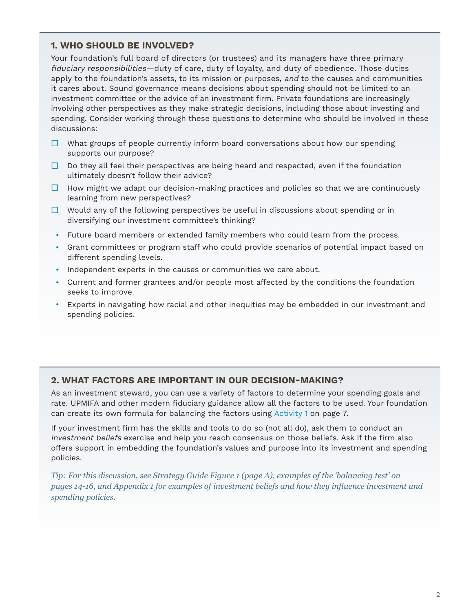## **1. WHO SHOULD BE INVOLVED?**

Your foundation's full board of directors (or trustees) and its managers have three primary fiduciary responsibilities—duty of care, duty of loyalty, and duty of obedience. Those duties apply to the foundation's assets, to its mission or purposes, and to the causes and communities it cares about. Sound governance means decisions about spending should not be limited to an investment committee or the advice of an investment firm. Private foundations are increasingly involving other perspectives as they make strategic decisions, including those about investing and spending. Consider working through these questions to determine who should be involved in these discussions:

- $\Box$  What groups of people currently inform board conversations about how our spending supports our purpose?
- $\Box$  Do they all feel their perspectives are being heard and respected, even if the foundation ultimately doesn't follow their advice?
- $\Box$  How might we adapt our decision-making practices and policies so that we are continuously learning from new perspectives?
- $\Box$  Would any of the following perspectives be useful in discussions about spending or in diversifying our investment committee's thinking?
- Future board members or extended family members who could learn from the process.
- Grant committees or program staff who could provide scenarios of potential impact based on different spending levels.
- Independent experts in the causes or communities we care about.
- Current and former grantees and/or people most affected by the conditions the foundation seeks to improve.
- Experts in navigating how racial and other inequities may be embedded in our investment and spending policies.

## **2. WHAT FACTORS ARE IMPORTANT IN OUR DECISION-MAKING?**

As an investment steward, you can use a variety of factors to determine your spending goals and rate. UPMIFA and other modern fiduciary guidance allow all the factors to be used. Your foundation can create its own formula for balancing the factors using [Activity 1](#page-7-0) on page 7.

If your investment firm has the skills and tools to do so (not all do), ask them to conduct an investment beliefs exercise and help you reach consensus on those beliefs. Ask if the firm also offers support in embedding the foundation's values and purpose into its investment and spending policies.

*Tip: For this discussion, see Strategy Guide Figure 1 (page A), examples of the 'balancing test' on pages 14-16, and Appendix 1 for examples of investment beliefs and how they influence investment and spending policies.*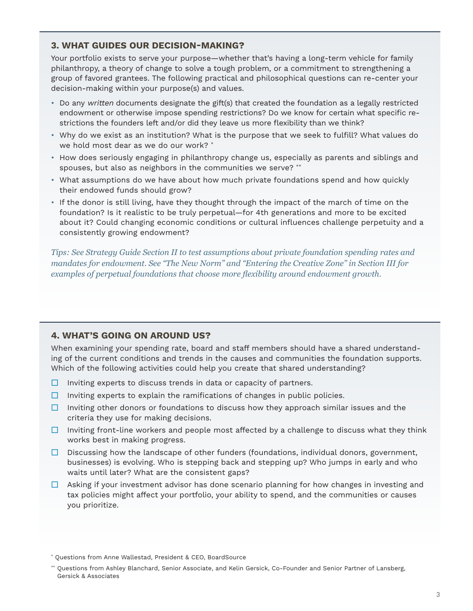#### **3. WHAT GUIDES OUR DECISION-MAKING?**

Your portfolio exists to serve your purpose—whether that's having a long-term vehicle for family philanthropy, a theory of change to solve a tough problem, or a commitment to strengthening a group of favored grantees. The following practical and philosophical questions can re-center your decision-making within your purpose(s) and values.

- Do any written documents designate the gift(s) that created the foundation as a legally restricted endowment or otherwise impose spending restrictions? Do we know for certain what specific restrictions the founders left and/or did they leave us more flexibility than we think?
- Why do we exist as an institution? What is the purpose that we seek to fulfill? What values do we hold most dear as we do our work? \*
- How does seriously engaging in philanthropy change us, especially as parents and siblings and spouses, but also as neighbors in the communities we serve? \*\*
- What assumptions do we have about how much private foundations spend and how quickly their endowed funds should grow?
- If the donor is still living, have they thought through the impact of the march of time on the foundation? Is it realistic to be truly perpetual—for 4th generations and more to be excited about it? Could changing economic conditions or cultural influences challenge perpetuity and a consistently growing endowment?

*Tips: See Strategy Guide Section II to test assumptions about private foundation spending rates and mandates for endowment. See "The New Norm" and "Entering the Creative Zone" in Section III for examples of perpetual foundations that choose more flexibility around endowment growth.*

## **4. WHAT'S GOING ON AROUND US?**

When examining your spending rate, board and staff members should have a shared understanding of the current conditions and trends in the causes and communities the foundation supports. Which of the following activities could help you create that shared understanding?

- $\Box$  Inviting experts to discuss trends in data or capacity of partners.
- $\Box$  Inviting experts to explain the ramifications of changes in public policies.
- $\Box$  Inviting other donors or foundations to discuss how they approach similar issues and the criteria they use for making decisions.
- $\Box$  Inviting front-line workers and people most affected by a challenge to discuss what they think works best in making progress.
- $\Box$  Discussing how the landscape of other funders (foundations, individual donors, government, businesses) is evolving. Who is stepping back and stepping up? Who jumps in early and who waits until later? What are the consistent gaps?
- $\Box$  Asking if your investment advisor has done scenario planning for how changes in investing and tax policies might affect your portfolio, your ability to spend, and the communities or causes you prioritize.

<sup>\*</sup> Questions from Anne Wallestad, President & CEO, BoardSource

<sup>\*\*</sup> Questions from Ashley Blanchard, Senior Associate, and Kelin Gersick, Co-Founder and Senior Partner of Lansberg, Gersick & Associates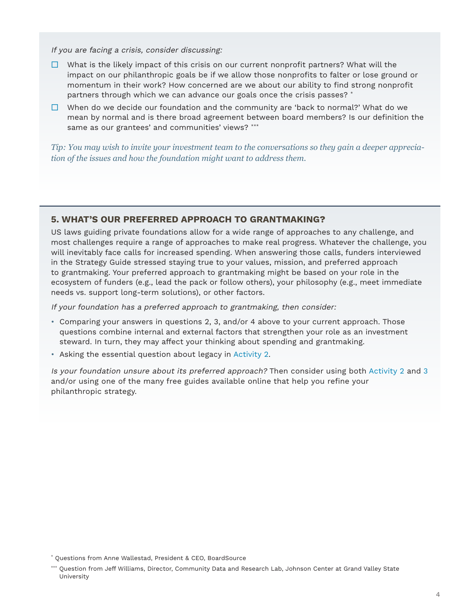If you are facing a crisis, consider discussing:

- $\Box$  What is the likely impact of this crisis on our current nonprofit partners? What will the impact on our philanthropic goals be if we allow those nonprofits to falter or lose ground or momentum in their work? How concerned are we about our ability to find strong nonprofit partners through which we can advance our goals once the crisis passes? \*
- $\Box$  When do we decide our foundation and the community are 'back to normal?' What do we mean by normal and is there broad agreement between board members? Is our definition the same as our grantees' and communities' views? \*\*\*

*Tip: You may wish to invite your investment team to the conversations so they gain a deeper appreciation of the issues and how the foundation might want to address them.* 

## **5. WHAT'S OUR PREFERRED APPROACH TO GRANTMAKING?**

US laws guiding private foundations allow for a wide range of approaches to any challenge, and most challenges require a range of approaches to make real progress. Whatever the challenge, you will inevitably face calls for increased spending. When answering those calls, funders interviewed in the Strategy Guide stressed staying true to your values, mission, and preferred approach to grantmaking. Your preferred approach to grantmaking might be based on your role in the ecosystem of funders (e.g., lead the pack or follow others), your philosophy (e.g., meet immediate needs vs. support long-term solutions), or other factors.

If your foundation has a preferred approach to grantmaking, then consider:

- Comparing your answers in questions 2, 3, and/or 4 above to your current approach. Those questions combine internal and external factors that strengthen your role as an investment steward. In turn, they may affect your thinking about spending and grantmaking.
- Asking the essential question about legacy in [Activity 2.](#page-8-0)

Is your foundation unsure about its preferred approach? Then consider using both [Activity 2](#page-8-0) and [3](#page-9-0) and/or using one of the many free guides available online that help you refine your philanthropic strategy.

<sup>\*</sup> Questions from Anne Wallestad, President & CEO, BoardSource

<sup>\*\*\*</sup> Question from Jeff Williams, Director, Community Data and Research Lab, Johnson Center at Grand Valley State University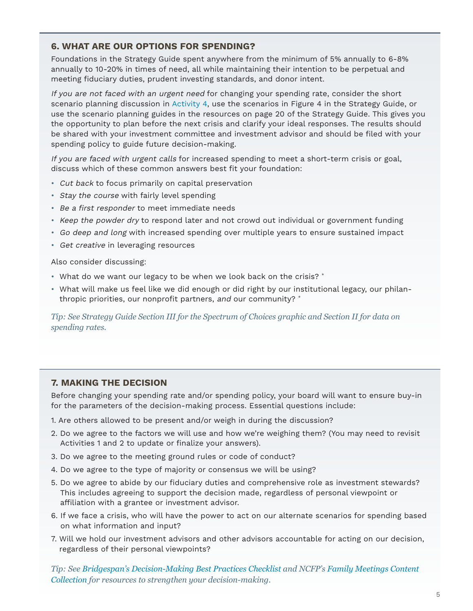## **6. WHAT ARE OUR OPTIONS FOR SPENDING?**

Foundations in the Strategy Guide spent anywhere from the minimum of 5% annually to 6-8% annually to 10-20% in times of need, all while maintaining their intention to be perpetual and meeting fiduciary duties, prudent investing standards, and donor intent.

If you are not faced with an urgent need for changing your spending rate, consider the short scenario planning discussion in [Activity 4](#page-10-0), use the scenarios in Figure 4 in the Strategy Guide, or use the scenario planning guides in the resources on page 20 of the Strategy Guide. This gives you the opportunity to plan before the next crisis and clarify your ideal responses. The results should be shared with your investment committee and investment advisor and should be filed with your spending policy to guide future decision-making.

If you are faced with urgent calls for increased spending to meet a short-term crisis or goal, discuss which of these common answers best fit your foundation:

- Cut back to focus primarily on capital preservation
- Stay the course with fairly level spending
- Be a first responder to meet immediate needs
- Keep the powder dry to respond later and not crowd out individual or government funding
- Go deep and long with increased spending over multiple years to ensure sustained impact
- Get creative in leveraging resources

Also consider discussing:

- What do we want our legacy to be when we look back on the crisis? \*
- What will make us feel like we did enough or did right by our institutional legacy, our philanthropic priorities, our nonprofit partners, and our community?  $*$

*Tip: See Strategy Guide Section III for the Spectrum of Choices graphic and Section II for data on spending rates.*

## **7. MAKING THE DECISION**

Before changing your spending rate and/or spending policy, your board will want to ensure buy-in for the parameters of the decision-making process. Essential questions include:

- 1. Are others allowed to be present and/or weigh in during the discussion?
- 2. Do we agree to the factors we will use and how we're weighing them? (You may need to revisit Activities 1 and 2 to update or finalize your answers).
- 3. Do we agree to the meeting ground rules or code of conduct?
- 4. Do we agree to the type of majority or consensus we will be using?
- 5. Do we agree to abide by our fiduciary duties and comprehensive role as investment stewards? This includes agreeing to support the decision made, regardless of personal viewpoint or affiliation with a grantee or investment advisor.
- 6. If we face a crisis, who will have the power to act on our alternate scenarios for spending based on what information and input?
- 7. Will we hold our investment advisors and other advisors accountable for acting on our decision, regardless of their personal viewpoints?

*Tip: See [Bridgespan's Decision-Making Best Practices Checklist](https://www.bridgespan.org/insights/library/organizational-effectiveness/decision-making-best-practices) and NCFP's [Family Meetings Content](https://www.ncfp.org/collection/family-meetings/)  [Collection](https://www.ncfp.org/collection/family-meetings/) for resources to strengthen your decision-making.*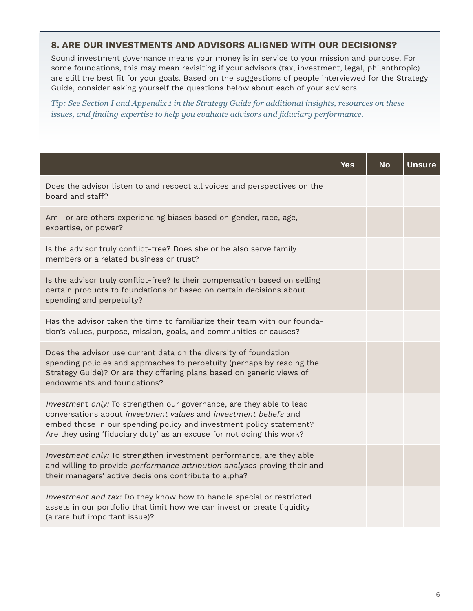## **8. ARE OUR INVESTMENTS AND ADVISORS ALIGNED WITH OUR DECISIONS?**

Sound investment governance means your money is in service to your mission and purpose. For some foundations, this may mean revisiting if your advisors (tax, investment, legal, philanthropic) are still the best fit for your goals. Based on the suggestions of people interviewed for the Strategy Guide, consider asking yourself the questions below about each of your advisors.

*Tip: See Section I and Appendix 1 in the Strategy Guide for additional insights, resources on these issues, and finding expertise to help you evaluate advisors and fiduciary performance.* 

|                                                                                                                                                                                                                                                                                          | Yes | No | <b>Unsure</b> |
|------------------------------------------------------------------------------------------------------------------------------------------------------------------------------------------------------------------------------------------------------------------------------------------|-----|----|---------------|
| Does the advisor listen to and respect all voices and perspectives on the<br>board and staff?                                                                                                                                                                                            |     |    |               |
| Am I or are others experiencing biases based on gender, race, age,<br>expertise, or power?                                                                                                                                                                                               |     |    |               |
| Is the advisor truly conflict-free? Does she or he also serve family<br>members or a related business or trust?                                                                                                                                                                          |     |    |               |
| Is the advisor truly conflict-free? Is their compensation based on selling<br>certain products to foundations or based on certain decisions about<br>spending and perpetuity?                                                                                                            |     |    |               |
| Has the advisor taken the time to familiarize their team with our founda-<br>tion's values, purpose, mission, goals, and communities or causes?                                                                                                                                          |     |    |               |
| Does the advisor use current data on the diversity of foundation<br>spending policies and approaches to perpetuity (perhaps by reading the<br>Strategy Guide)? Or are they offering plans based on generic views of<br>endowments and foundations?                                       |     |    |               |
| Investment only: To strengthen our governance, are they able to lead<br>conversations about investment values and investment beliefs and<br>embed those in our spending policy and investment policy statement?<br>Are they using 'fiduciary duty' as an excuse for not doing this work? |     |    |               |
| Investment only: To strengthen investment performance, are they able<br>and willing to provide performance attribution analyses proving their and<br>their managers' active decisions contribute to alpha?                                                                               |     |    |               |
| Investment and tax: Do they know how to handle special or restricted<br>assets in our portfolio that limit how we can invest or create liquidity<br>(a rare but important issue)?                                                                                                        |     |    |               |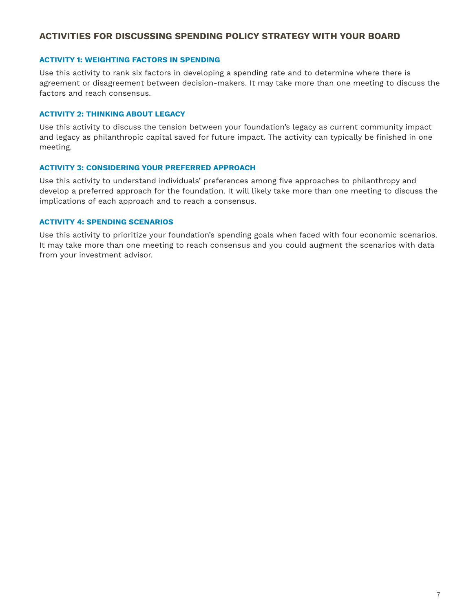## **ACTIVITIES FOR DISCUSSING SPENDING POLICY STRATEGY WITH YOUR BOARD**

#### **[ACTIVITY 1: WEIGHTING FACTORS IN SPENDING](#page-7-0)**

Use this activity to rank six factors in developing a spending rate and to determine where there is agreement or disagreement between decision-makers. It may take more than one meeting to discuss the factors and reach consensus.

#### **[ACTIVITY 2: THINKING ABOUT LEGACY](#page-8-0)**

Use this activity to discuss the tension between your foundation's legacy as current community impact and legacy as philanthropic capital saved for future impact. The activity can typically be finished in one meeting.

#### **[ACTIVITY 3: CONSIDERING YOUR PREFERRED APPROACH](#page-9-0)**

Use this activity to understand individuals' preferences among five approaches to philanthropy and develop a preferred approach for the foundation. It will likely take more than one meeting to discuss the implications of each approach and to reach a consensus.

#### **[ACTIVITY 4: SPENDING SCENARIOS](#page-10-0)**

Use this activity to prioritize your foundation's spending goals when faced with four economic scenarios. It may take more than one meeting to reach consensus and you could augment the scenarios with data from your investment advisor.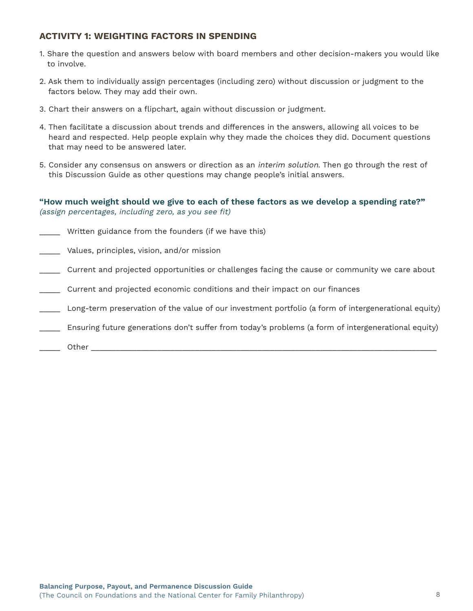## <span id="page-7-0"></span>**ACTIVITY 1: WEIGHTING FACTORS IN SPENDING**

- 1. Share the question and answers below with board members and other decision-makers you would like to involve.
- 2. Ask them to individually assign percentages (including zero) without discussion or judgment to the factors below. They may add their own.
- 3. Chart their answers on a flipchart, again without discussion or judgment.
- 4. Then facilitate a discussion about trends and differences in the answers, allowing all voices to be heard and respected. Help people explain why they made the choices they did. Document questions that may need to be answered later.
- 5. Consider any consensus on answers or direction as an *interim solution*. Then go through the rest of this Discussion Guide as other questions may change people's initial answers.

## **"How much weight should we give to each of these factors as we develop a spending rate?"** (assign percentages, including zero, as you see fit)

- Written guidance from the founders (if we have this)
- Values, principles, vision, and/or mission
- \_\_\_\_\_ Current and projected opportunities or challenges facing the cause or community we care about
- \_\_\_\_\_ Current and projected economic conditions and their impact on our finances
- \_\_\_\_\_ Long-term preservation of the value of our investment portfolio (a form of intergenerational equity)
- Ensuring future generations don't suffer from today's problems (a form of intergenerational equity)
- \_\_\_\_\_ Other \_\_\_\_\_\_\_\_\_\_\_\_\_\_\_\_\_\_\_\_\_\_\_\_\_\_\_\_\_\_\_\_\_\_\_\_\_\_\_\_\_\_\_\_\_\_\_\_\_\_\_\_\_\_\_\_\_\_\_\_\_\_\_\_\_\_\_\_\_\_\_\_\_\_\_\_\_\_\_\_\_\_\_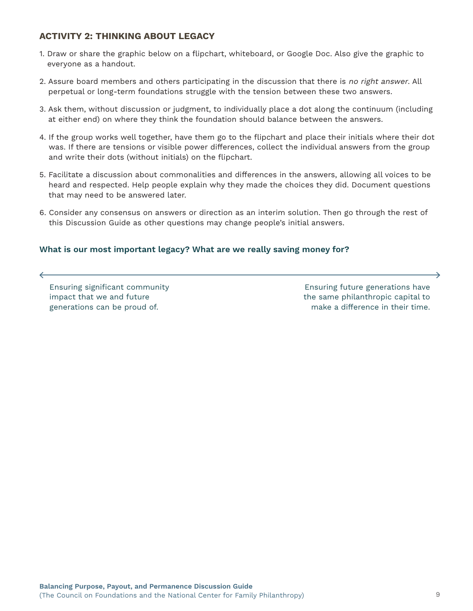## <span id="page-8-0"></span>**ACTIVITY 2: THINKING ABOUT LEGACY**

- 1. Draw or share the graphic below on a flipchart, whiteboard, or Google Doc. Also give the graphic to everyone as a handout.
- 2. Assure board members and others participating in the discussion that there is no right answer. All perpetual or long-term foundations struggle with the tension between these two answers.
- 3. Ask them, without discussion or judgment, to individually place a dot along the continuum (including at either end) on where they think the foundation should balance between the answers.
- 4. If the group works well together, have them go to the flipchart and place their initials where their dot was. If there are tensions or visible power differences, collect the individual answers from the group and write their dots (without initials) on the flipchart.
- 5. Facilitate a discussion about commonalities and differences in the answers, allowing all voices to be heard and respected. Help people explain why they made the choices they did. Document questions that may need to be answered later.
- 6. Consider any consensus on answers or direction as an interim solution. Then go through the rest of this Discussion Guide as other questions may change people's initial answers.

## **What is our most important legacy? What are we really saving money for?**

Ensuring significant community impact that we and future generations can be proud of.

 $\leftarrow$ 

Ensuring future generations have the same philanthropic capital to make a difference in their time.

 $\rightarrow$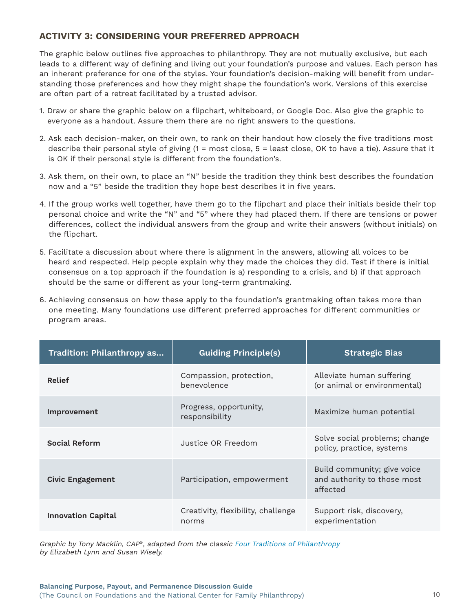## <span id="page-9-0"></span>**ACTIVITY 3: CONSIDERING YOUR PREFERRED APPROACH**

The graphic below outlines five approaches to philanthropy. They are not mutually exclusive, but each leads to a different way of defining and living out your foundation's purpose and values. Each person has an inherent preference for one of the styles. Your foundation's decision-making will benefit from understanding those preferences and how they might shape the foundation's work. Versions of this exercise are often part of a retreat facilitated by a trusted advisor.

- 1. Draw or share the graphic below on a flipchart, whiteboard, or Google Doc. Also give the graphic to everyone as a handout. Assure them there are no right answers to the questions.
- 2. Ask each decision-maker, on their own, to rank on their handout how closely the five traditions most describe their personal style of giving (1 = most close, 5 = least close, OK to have a tie). Assure that it is OK if their personal style is different from the foundation's.
- 3. Ask them, on their own, to place an "N" beside the tradition they think best describes the foundation now and a "5" beside the tradition they hope best describes it in five years.
- 4. If the group works well together, have them go to the flipchart and place their initials beside their top personal choice and write the "N" and "5" where they had placed them. If there are tensions or power differences, collect the individual answers from the group and write their answers (without initials) on the flipchart.
- 5. Facilitate a discussion about where there is alignment in the answers, allowing all voices to be heard and respected. Help people explain why they made the choices they did. Test if there is initial consensus on a top approach if the foundation is a) responding to a crisis, and b) if that approach should be the same or different as your long-term grantmaking.
- 6. Achieving consensus on how these apply to the foundation's grantmaking often takes more than one meeting. Many foundations use different preferred approaches for different communities or program areas.

| Tradition: Philanthropy as | <b>Guiding Principle(s)</b>                 | <b>Strategic Bias</b>                                                  |
|----------------------------|---------------------------------------------|------------------------------------------------------------------------|
| <b>Relief</b>              | Compassion, protection,<br>benevolence      | Alleviate human suffering<br>(or animal or environmental)              |
| <b>Improvement</b>         | Progress, opportunity,<br>responsibility    | Maximize human potential                                               |
| <b>Social Reform</b>       | Justice OR Freedom                          | Solve social problems; change<br>policy, practice, systems             |
| Civic Engagement           | Participation, empowerment                  | Build community; give voice<br>and authority to those most<br>affected |
| <b>Innovation Capital</b>  | Creativity, flexibility, challenge<br>norms | Support risk, discovery,<br>experimentation                            |

Graphic by Tony Macklin, CAP®, adapted from the classic [Four Traditions of Philanthropy](https://civicreflection.org/resources/articles-essays/four-traditions-of-philanthropy) by Elizabeth Lynn and Susan Wisely.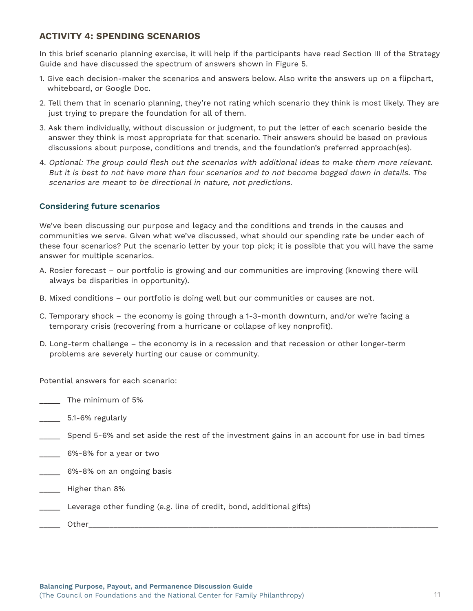## <span id="page-10-0"></span>**ACTIVITY 4: SPENDING SCENARIOS**

In this brief scenario planning exercise, it will help if the participants have read Section III of the Strategy Guide and have discussed the spectrum of answers shown in Figure 5.

- 1. Give each decision-maker the scenarios and answers below. Also write the answers up on a flipchart, whiteboard, or Google Doc.
- 2. Tell them that in scenario planning, they're not rating which scenario they think is most likely. They are just trying to prepare the foundation for all of them.
- 3. Ask them individually, without discussion or judgment, to put the letter of each scenario beside the answer they think is most appropriate for that scenario. Their answers should be based on previous discussions about purpose, conditions and trends, and the foundation's preferred approach(es).
- 4. Optional: The group could flesh out the scenarios with additional ideas to make them more relevant. But it is best to not have more than four scenarios and to not become bogged down in details. The scenarios are meant to be directional in nature, not predictions.

## **Considering future scenarios**

We've been discussing our purpose and legacy and the conditions and trends in the causes and communities we serve. Given what we've discussed, what should our spending rate be under each of these four scenarios? Put the scenario letter by your top pick; it is possible that you will have the same answer for multiple scenarios.

- A. Rosier forecast our portfolio is growing and our communities are improving (knowing there will always be disparities in opportunity).
- B. Mixed conditions our portfolio is doing well but our communities or causes are not.
- C. Temporary shock the economy is going through a 1-3-month downturn, and/or we're facing a temporary crisis (recovering from a hurricane or collapse of key nonprofit).
- D. Long-term challenge the economy is in a recession and that recession or other longer-term problems are severely hurting our cause or community.

Potential answers for each scenario:

\_\_\_\_\_ The minimum of 5%

- \_\_\_\_\_ 5.1-6% regularly
- \_\_\_\_\_ Spend 5-6% and set aside the rest of the investment gains in an account for use in bad times
- \_\_\_\_\_ 6%-8% for a year or two
- \_\_\_\_\_ 6%-8% on an ongoing basis
- \_\_\_\_\_ Higher than 8%
- Leverage other funding (e.g. line of credit, bond, additional gifts)
- $\blacksquare$  Other